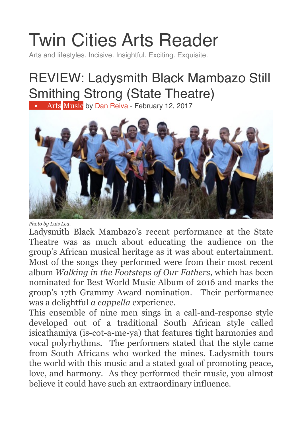## [Twin Cities Arts Reader](https://twincitiesarts.com/)

Arts and lifestyles. Incisive. Insightful. Exciting. Exquisite.

## REVIEW: Ladysmith Black Mambazo Still Smithing Strong (State Theatre)

• [Arts](https://twincitiesarts.com/category/arts/) [Music](https://twincitiesarts.com/category/arts/music/) by [Dan Reiva](https://twincitiesarts.com/author/danreiva/) - February 12, 2017



*Photo by Luis Lea.*

Ladysmith Black Mambazo's recent performance at the State Theatre was as much about educating the audience on the group's African musical heritage as it was about entertainment. Most of the songs they performed were from their most recent album *Walking in the Footsteps of Our Fathers*, which has been nominated for Best World Music Album of 2016 and marks the group's 17th Grammy Award nomination. Their performance was a delightful *a cappella* experience.

This ensemble of nine men sings in a call-and-response style developed out of a traditional South African style called isicathamiya (is-cot-a-me-ya) that features tight harmonies and vocal polyrhythms. The performers stated that the style came from South Africans who worked the mines. Ladysmith tours the world with this music and a stated goal of promoting peace, love, and harmony. As they performed their music, you almost believe it could have such an extraordinary influence.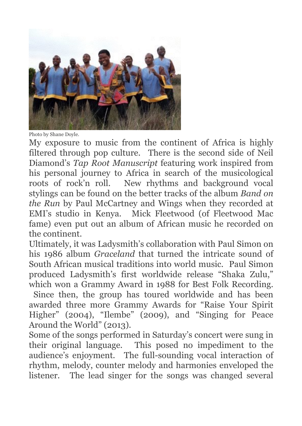

Photo by Shane Doyle.

My exposure to music from the continent of Africa is highly filtered through pop culture. There is the second side of Neil Diamond's *Tap Root Manuscript* featuring work inspired from his personal journey to Africa in search of the musicological roots of rock'n roll. New rhythms and background vocal stylings can be found on the better tracks of the album *Band on the Run* by Paul McCartney and Wings when they recorded at EMI's studio in Kenya. Mick Fleetwood (of Fleetwood Mac fame) even put out an album of African music he recorded on the continent.

Ultimately, it was Ladysmith's collaboration with Paul Simon on his 1986 album *Graceland* that turned the intricate sound of South African musical traditions into world music. Paul Simon produced Ladysmith's first worldwide release "Shaka Zulu," which won a Grammy Award in 1988 for Best Folk Recording.

Since then, the group has toured worldwide and has been awarded three more Grammy Awards for "Raise Your Spirit Higher" (2004), "Ilembe" (2009), and "Singing for Peace Around the World" (2013).

Some of the songs performed in Saturday's concert were sung in their original language. This posed no impediment to the audience's enjoyment. The full-sounding vocal interaction of rhythm, melody, counter melody and harmonies enveloped the listener. The lead singer for the songs was changed several